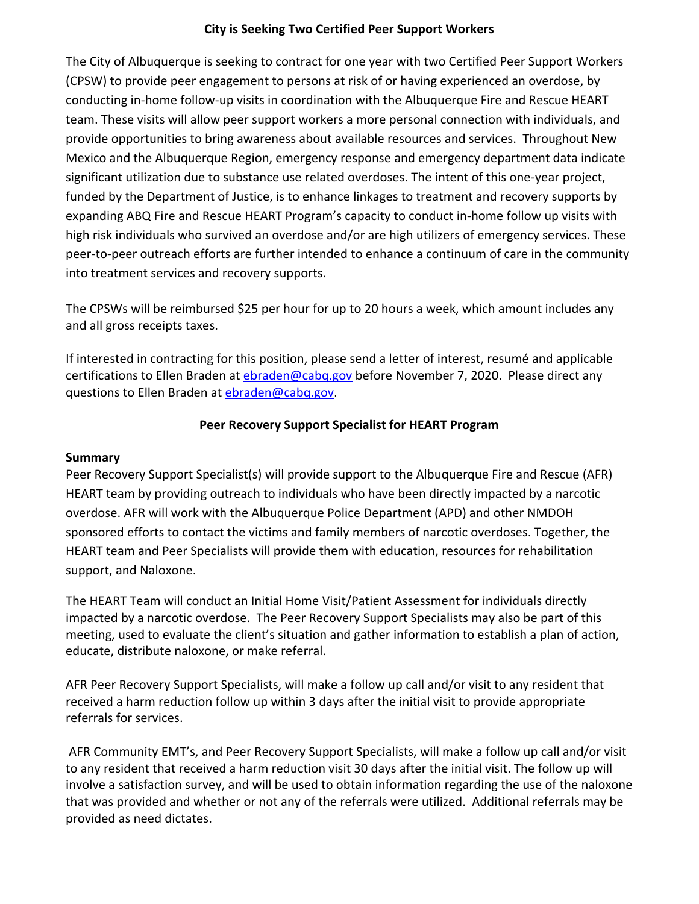### **City is Seeking Two Certified Peer Support Workers**

The City of Albuquerque is seeking to contract for one year with two Certified Peer Support Workers (CPSW) to provide peer engagement to persons at risk of or having experienced an overdose, by conducting in-home follow-up visits in coordination with the Albuquerque Fire and Rescue HEART team. These visits will allow peer support workers a more personal connection with individuals, and provide opportunities to bring awareness about available resources and services. Throughout New Mexico and the Albuquerque Region, emergency response and emergency department data indicate significant utilization due to substance use related overdoses. The intent of this one-year project, funded by the Department of Justice, is to enhance linkages to treatment and recovery supports by expanding ABQ Fire and Rescue HEART Program's capacity to conduct in-home follow up visits with high risk individuals who survived an overdose and/or are high utilizers of emergency services. These peer-to-peer outreach efforts are further intended to enhance a continuum of care in the community into treatment services and recovery supports.

The CPSWs will be reimbursed \$25 per hour for up to 20 hours a week, which amount includes any and all gross receipts taxes.

If interested in contracting for this position, please send a letter of interest, resumé and applicable certifications to Ellen Braden at [ebraden@cabq.gov](mailto:ebraden@cabq.gov) before November 7, 2020. Please direct any questions to Ellen Braden at [ebraden@cabq.gov.](mailto:ebraden@cabq.gov)

#### **Peer Recovery Support Specialist for HEART Program**

#### **Summary**

Peer Recovery Support Specialist(s) will provide support to the Albuquerque Fire and Rescue (AFR) HEART team by providing outreach to individuals who have been directly impacted by a narcotic overdose. AFR will work with the Albuquerque Police Department (APD) and other NMDOH sponsored efforts to contact the victims and family members of narcotic overdoses. Together, the HEART team and Peer Specialists will provide them with education, resources for rehabilitation support, and Naloxone.

The HEART Team will conduct an Initial Home Visit/Patient Assessment for individuals directly impacted by a narcotic overdose. The Peer Recovery Support Specialists may also be part of this meeting, used to evaluate the client's situation and gather information to establish a plan of action, educate, distribute naloxone, or make referral.

AFR Peer Recovery Support Specialists, will make a follow up call and/or visit to any resident that received a harm reduction follow up within 3 days after the initial visit to provide appropriate referrals for services.

AFR Community EMT's, and Peer Recovery Support Specialists, will make a follow up call and/or visit to any resident that received a harm reduction visit 30 days after the initial visit. The follow up will involve a satisfaction survey, and will be used to obtain information regarding the use of the naloxone that was provided and whether or not any of the referrals were utilized. Additional referrals may be provided as need dictates.